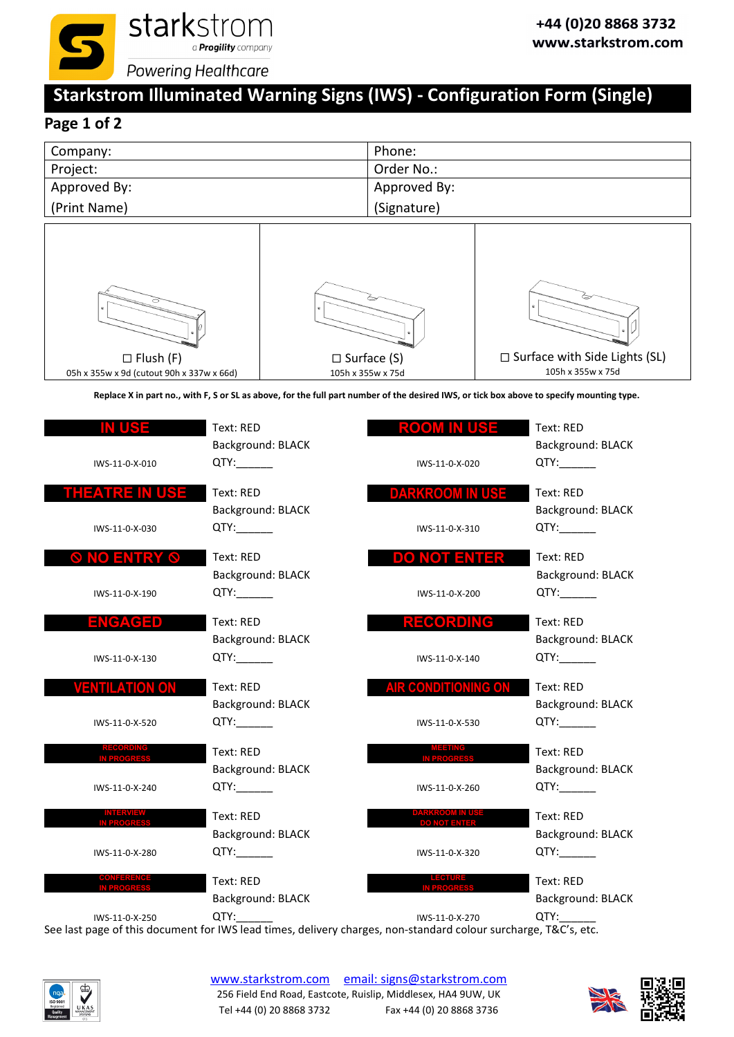

# **Starkstrom Illuminated Warning Signs (IWS) ‐ Configuration Form (Single)**

# **Page 1 of 2**

| Company:     | Phone:       |
|--------------|--------------|
| Project:     | Order No.:   |
| Approved By: | Approved By: |
| (Print Name) | (Signature)  |



Replace X in part no., with F, S or SL as above, for the full part number of the desired IWS, or tick box above to specify mounting type.

| IWS-11-0-X-010                          | Text: RED<br>Background: BLACK<br>QTY: | Rofoly<br>IIISE<br>IWS-11-0-X-020             | Text: RED<br>Background: BLACK<br>QTY: |
|-----------------------------------------|----------------------------------------|-----------------------------------------------|----------------------------------------|
| <u>iheanre In Use</u><br>IWS-11-0-X-030 | Text: RED<br>Background: BLACK<br>QTY: | <b>DARKROOM IN USE</b><br>IWS-11-0-X-310      | Text: RED<br>Background: BLACK<br>QTY: |
| <b>IO ENTRY</b><br>$\mathcal{O}$        | Text: RED<br>Background: BLACK         | DO NOT ENTER                                  | Text: RED<br>Background: BLACK         |
| IWS-11-0-X-190<br>ENGAGED               | QTY:<br>Text: RED                      | IWS-11-0-X-200<br>RECORDING                   | QTY:<br>Text: RED                      |
| IWS-11-0-X-130                          | Background: BLACK<br>QTY:              | IWS-11-0-X-140                                | Background: BLACK<br>QTY:_______       |
| <b>VENTILATION ON</b><br>IWS-11-0-X-520 | Text: RED<br>Background: BLACK<br>QTY: | <b>AIR CONDITIONING ON</b><br>IWS-11-0-X-530  | Text: RED<br>Background: BLACK<br>QTY: |
| <b>RECORDING</b><br>IN PROGRES          | Text: RED<br>Background: BLACK         | <b>MEETING</b>                                | Text: RED<br>Background: BLACK         |
| IWS-11-0-X-240                          | QTY:_______                            | IWS-11-0-X-260                                | QTY:                                   |
| <b>INTERVIEW<br/>IN PROGRESS</b>        | Text: RED<br>Background: BLACK         | <b>DARKROOM IN USE</b><br><b>DO NOT ENTER</b> | Text: RED<br>Background: BLACK         |
| IWS-11-0-X-280                          | QTY:                                   | IWS-11-0-X-320                                | QTY:                                   |
| <b>IN PROGRES</b>                       | Text: RED<br>Background: BLACK         |                                               | Text: RED<br>Background: BLACK         |
| IWS-11-0-X-250                          | QTY:                                   | IWS-11-0-X-270                                | QTY:                                   |



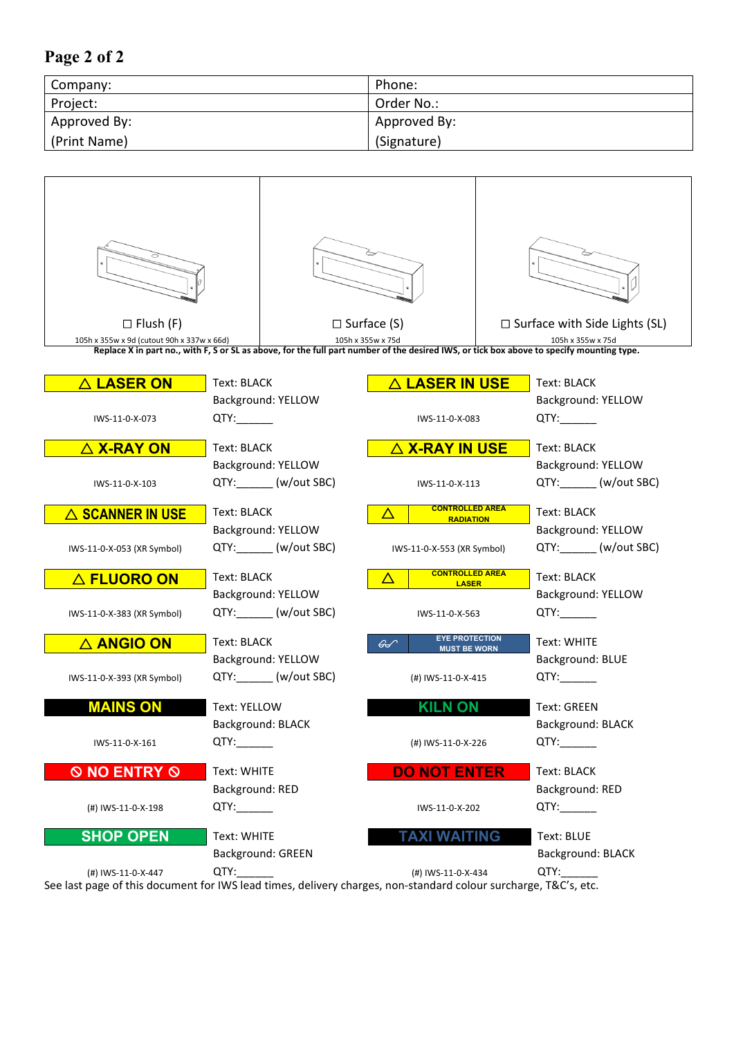### **Page 2 of 2**

| Company:     | Phone:       |
|--------------|--------------|
| Project:     | Order No.:   |
| Approved By: | Approved By: |
| (Print Name) | (Signature)  |

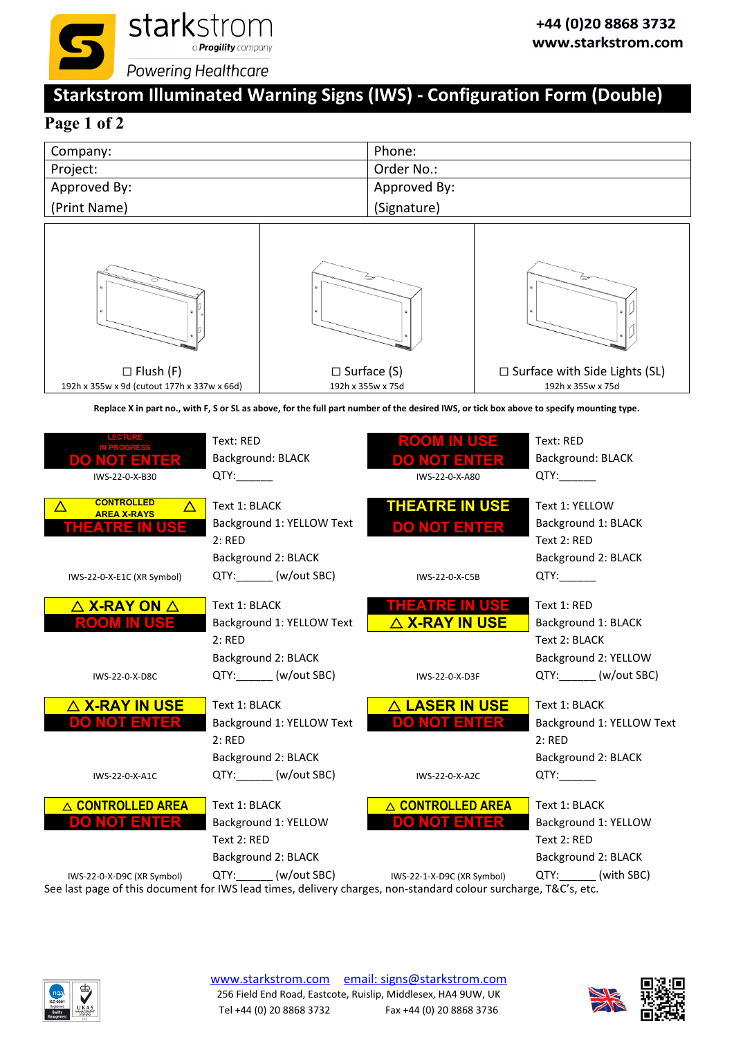

# **Starkstrom Illuminated Warning Signs (IWS) ‐ Configuration Form (Double)**

# **Page 1 of 2**

| Company:     | Phone:       |
|--------------|--------------|
| Project:     | Order No.:   |
| Approved By: | Approved By: |
| (Print Name) | (Signature)  |



Replace X in part no., with F, S or SL as above, for the full part number of the desired IWS, or tick box above to specify mounting type.

| LECTURE<br><b>DO NOT ENTER</b><br>IWS-22-0-X-B30                      | Text: RED<br><b>Background: BLACK</b><br>QTY:                               | <b>ROOM IN USE</b><br><b>DO NOT ENTER</b><br>IWS-22-0-X-A80 | Text: RED<br><b>Background: BLACK</b><br>QTY:                               |
|-----------------------------------------------------------------------|-----------------------------------------------------------------------------|-------------------------------------------------------------|-----------------------------------------------------------------------------|
| <b>CONTROLLED</b><br>Δ<br><b>AREA X-RAYS</b><br><b>THEATRE IN USE</b> | Text 1: BLACK<br>Background 1: YELLOW Text<br>2:RED<br>Background 2: BLACK  | <b>THEATRE IN USE</b><br><b>DO NOT ENTER</b>                | Text 1: YELLOW<br>Background 1: BLACK<br>Text 2: RED<br>Background 2: BLACK |
| IWS-22-0-X-E1C (XR Symbol)                                            | QTY: _______ (w/out SBC)                                                    | IWS-22-0-X-C5B                                              | QTY:                                                                        |
| $\triangle$ X-RAY ON $\triangle$<br>ROOM IN USE                       | Text 1: BLACK<br>Background 1: YELLOW Text<br>2:RED<br>Background 2: BLACK  | THEATRE IN USE<br>△ X-RAY IN USE                            | Text 1: RED<br>Background 1: BLACK<br>Text 2: BLACK<br>Background 2: YELLOW |
| IWS-22-0-X-D8C                                                        | QTY: (w/out SBC)                                                            | IWS-22-0-X-D3F                                              | QTY: (w/out SBC)                                                            |
| $\triangle$ X-RAY IN USE<br><b>DO NOT ENTER</b>                       | Text 1: BLACK<br>Background 1: YELLOW Text<br>2:RED<br>Background 2: BLACK  | △ LASER IN USE<br><b>DO NOT ENTER</b>                       | Text 1: BLACK<br>Background 1: YELLOW Text<br>2:RED<br>Background 2: BLACK  |
| IWS-22-0-X-A1C                                                        | QTY: (w/out SBC)                                                            | IWS-22-0-X-A2C                                              | QTY:                                                                        |
| △ CONTROLLED AREA<br><b>DO NOT ENTER</b>                              | Text 1: BLACK<br>Background 1: YELLOW<br>Text 2: RED<br>Background 2: BLACK | △ CONTROLLED AREA<br><b>DO NOT ENTER</b>                    | Text 1: BLACK<br>Background 1: YELLOW<br>Text 2: RED<br>Background 2: BLACK |
| IWS-22-0-X-D9C (XR Symbol)                                            | QTY: _______ (w/out SBC)                                                    | IWS-22-1-X-D9C (XR Symbol)                                  | QTY: (with SBC)                                                             |



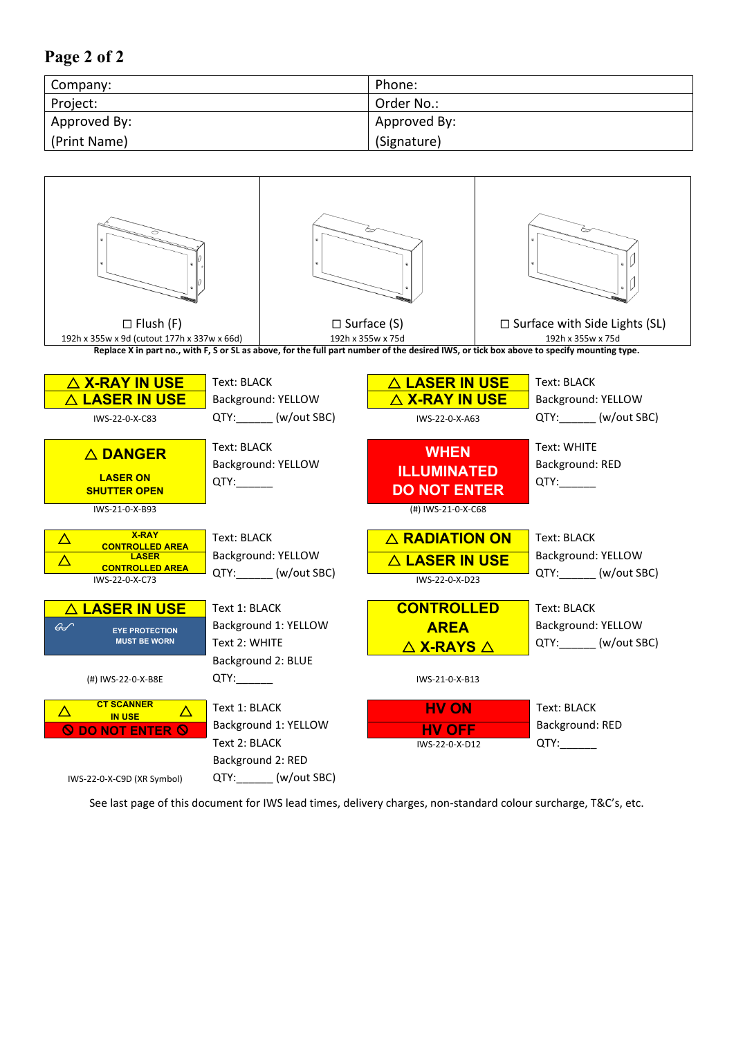## **Page 2 of 2**

| Company:     | Phone:       |
|--------------|--------------|
| Project:     | Order No.:   |
| Approved By: | Approved By: |
| (Print Name) | (Signature)  |

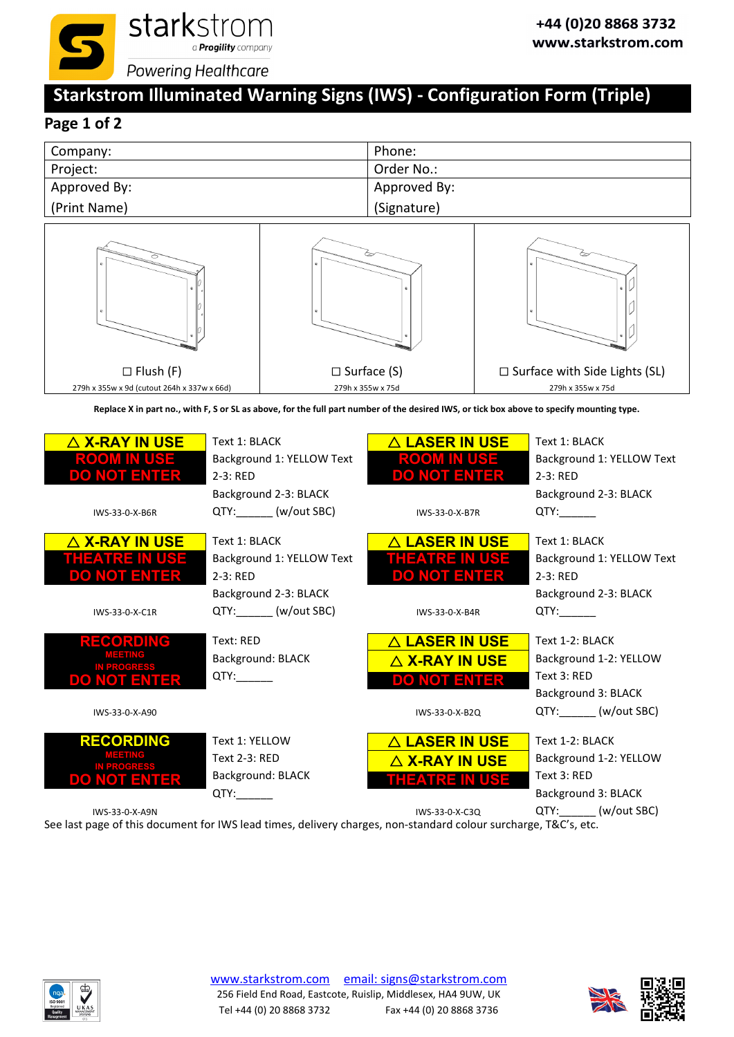

# **Starkstrom Illuminated Warning Signs (IWS) ‐ Configuration Form (Triple)**

# **Page 1 of 2**

| Company:     | Phone:       |
|--------------|--------------|
| Project:     | Order No.:   |
| Approved By: | Approved By: |
| (Print Name) | (Signature)  |



Replace X in part no., with F, S or SL as above, for the full part number of the desired IWS, or tick box above to specify mounting type.

| $\triangle$ X-RAY IN USE<br>ROOM IN USE<br>DO NOT ENTER                                    | Text 1: BLACK<br>Background 1: YELLOW Text<br>$2-3$ : RED<br>Background 2-3: BLACK                     | $\Delta$ LASER IN USE<br><b>ROOM IN USE</b><br><b>DO NOT ENTER</b>                       | Text 1: BLACK<br>Background 1: YELLOW Text<br>2-3: RED<br>Background 2-3: BLACK                             |
|--------------------------------------------------------------------------------------------|--------------------------------------------------------------------------------------------------------|------------------------------------------------------------------------------------------|-------------------------------------------------------------------------------------------------------------|
| IWS-33-0-X-B6R                                                                             | QTY: _______ (w/out SBC)                                                                               | IWS-33-0-X-B7R                                                                           | QTY:                                                                                                        |
| $\triangle$ X-RAY IN USE<br>THEATRE IN USE<br>DO NOT ENTER<br>IWS-33-0-X-C1R               | Text 1: BLACK<br>Background 1: YELLOW Text<br>$2-3$ : RED<br>Background 2-3: BLACK<br>QTY: (w/out SBC) | $\triangle$ LASER IN USE<br>THEATRE IN USE<br><b>DO NOT ENTER</b><br>IWS-33-0-X-B4R      | Text 1: BLACK<br>Background 1: YELLOW Text<br>$2-3$ : RED<br>Background 2-3: BLACK<br>QTY:                  |
| RECORDING<br><b>MEETING</b><br>IN PROGRESS<br><b>DO NOT ENTER</b><br>IWS-33-0-X-A90        | Text: RED<br>Background: BLACK                                                                         | △ LASER IN USE<br>$\triangle$ X-RAY IN USE<br><b>DO NOT ENTER</b><br>IWS-33-0-X-B2Q      | Text 1-2: BLACK<br>Background 1-2: YELLOW<br>Text 3: RED<br>Background 3: BLACK<br>QTY: (w/out SBC)         |
| <b>RECORDING</b><br>MEETING<br><b>IN PROGRESS</b><br><b>DO NOT ENTER</b><br>IWS-33-0-X-A9N | Text 1: YELLOW<br><b>Text 2-3: RED</b><br>Background: BLACK<br>QTY:                                    | $\triangle$ LASER IN USE<br>$\triangle$ X-RAY IN USE<br>THEATRE IN USE<br>IWS-33-0-X-C3Q | Text 1-2: BLACK<br>Background 1-2: YELLOW<br>Text 3: RED<br>Background 3: BLACK<br>QTY: _______ (w/out SBC) |



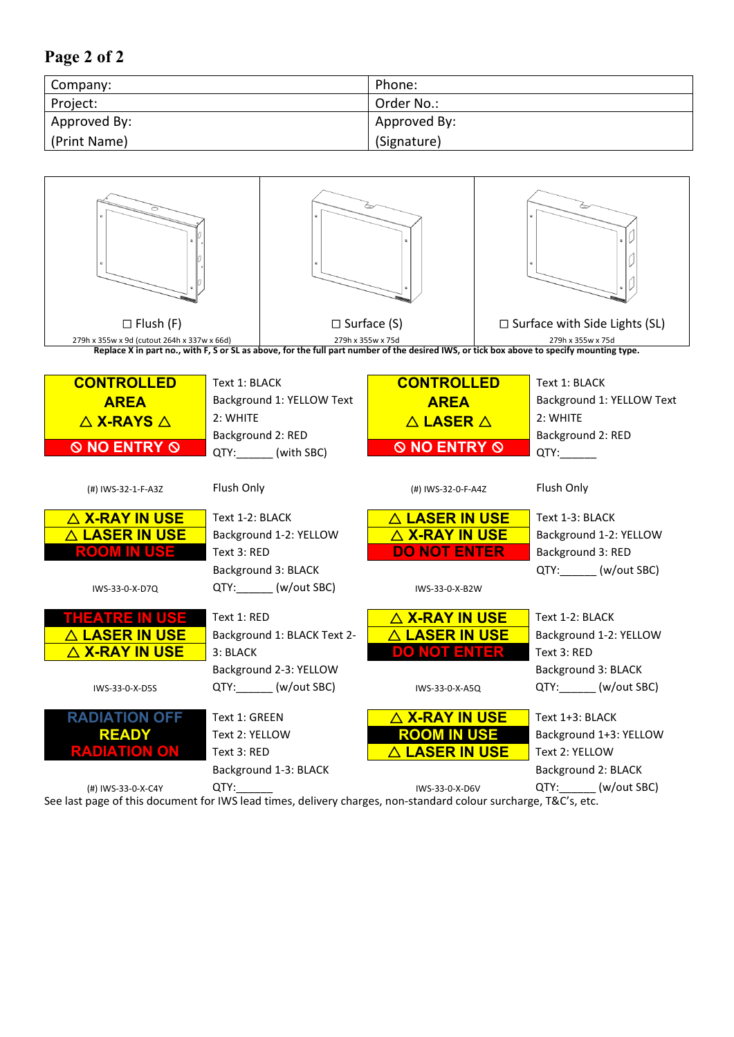## **Page 2 of 2**

| Company:     | Phone:       |
|--------------|--------------|
| Project:     | Order No.:   |
| Approved By: | Approved By: |
| (Print Name) | (Signature)  |

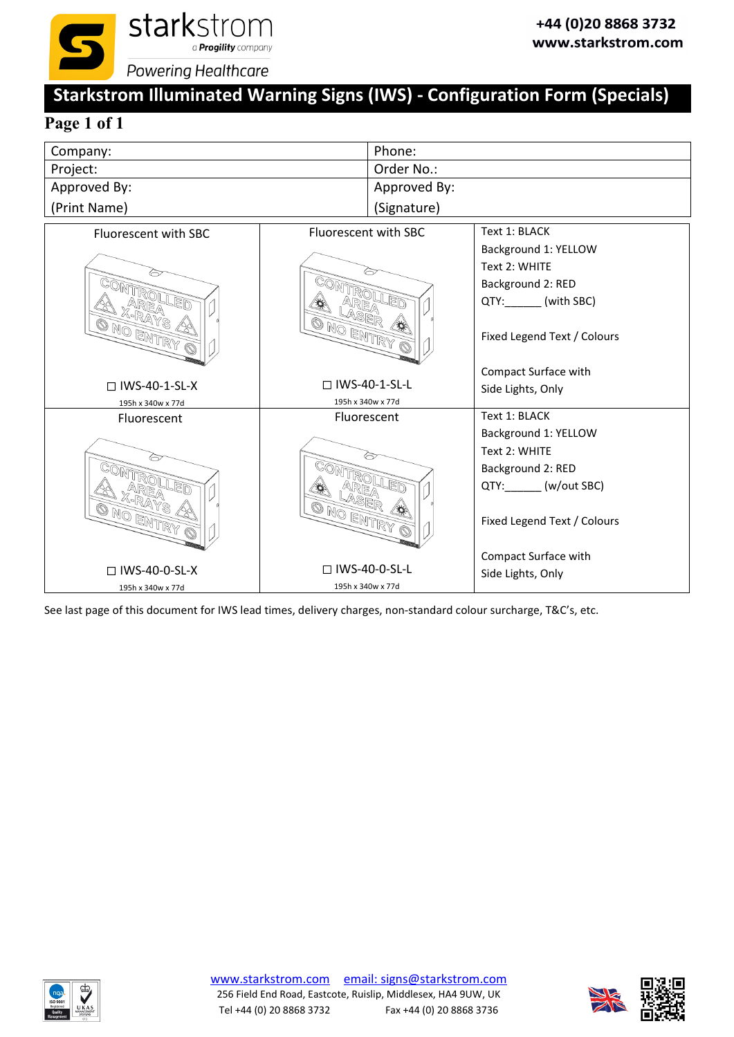

# **Starkstrom Illuminated Warning Signs (IWS) ‐ Configuration Form (Specials)**

# **Page 1 of 1**

| Company:     | Phone:       |
|--------------|--------------|
| Project:     | Order No.:   |
| Approved By: | Approved By: |
| (Print Name) | (Signature)  |





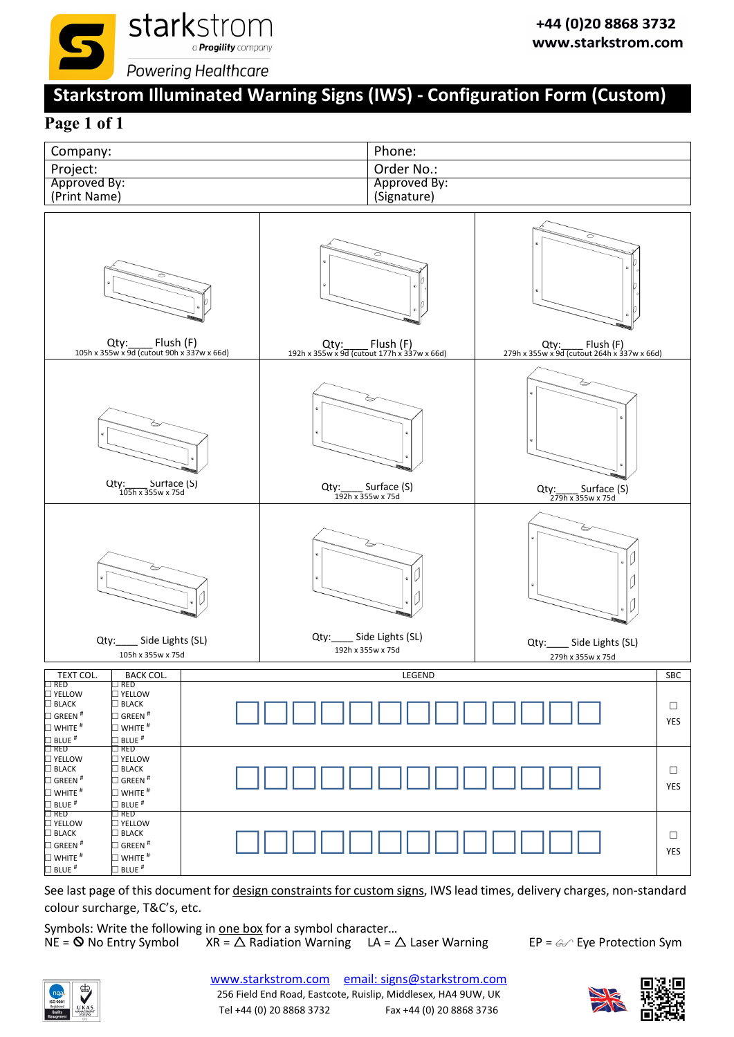

# **Starkstrom Illuminated Warning Signs (IWS) ‐ Configuration Form (Custom)**

## **Page 1 of 1**



See last page of this document for design constraints for custom signs, IWS lead times, delivery charges, non-standard colour surcharge, T&C's, etc.

Symbols: Write the following in <u>one box</u> for a symbol character...<br>NE = **O** No Entry Symbol XR =  $\triangle$  Radiation Warning LA =  $\angle$  $XR = \triangle$  Radiation Warning LA =  $\triangle$  Laser Warning EP =  $\textcircled{e}$  Eye Protection Sym



[www.starkstrom.com](http://www.starkstrom.com) email: signs@starkstrom.com 256 Field End Road, Eastcote, Ruislip, Middlesex, HA4 9UW, UK Tel +44 (0) 20 8868 3732 Fax +44 (0) 20 8868 3736